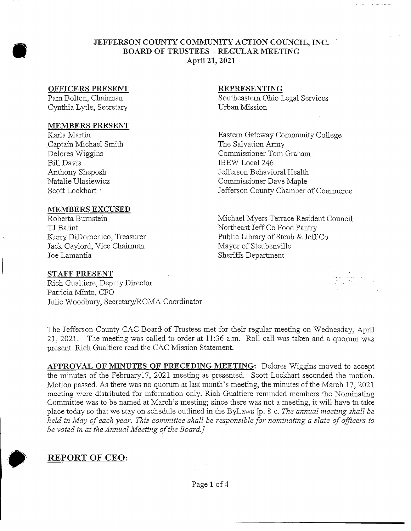## **JEFFERSON COUNTY COMMUNITY ACTION COUNCIL, INC. BOARD OF TRUSTEES - REGULAR MEETING April** *21,* **2021**

## **OFFICERS PRESENT**

Pam Bolton, Chairman Cynthia Lytle, Secretary

### **MEMBERS PRESENT**

Karla Martin Captain Michael Smith Delores Wiggins Bill Davis Anthony Sheposh Natalie Ulasiewicz Scott Lockhart •

### **MEMBERS EXCUSED**

Roberta Burnstein TJ Balint . Kerry DiDomenico, Treasurer Jack Gaylord, Vice Chairman Joe Lamantia

## **STAFF PRESENT**

Rich Gualtiere, Deputy Director Patricia Minto, CFO Julie Woodbury, Secretary/ROMA Coordinator

### **REPRESENTING**

Southeastern Ohio Legal Services Urban Mission

Eastern Gateway Community College The Salvation Army Commissioner Tom Graham IBEW Local 246 Jefferson Behavioral Health Commissioner Dave Maple Jefferson County Chamber of Commerce

Michael Myers Terrace Resident Council Northeast Jeff Co Food Pantry Public Library of Steub & Jeff Co Mayor of Steubenville Sheriffs Department

The Jefferson County CAC Board of Trustees met for their regular meeting on Wednesday, April 21, 2021. The meeting was called to order at 11:36 a.m. Roll call was taken and a quorum was present. Rich Gualtiere read the CAC Mission Statement.

**APPROVAL OF MINUTES OF PRECEDING MEETING:** Delores Wiggins moved to accept the minutes of the February17, 2021 meeting as presented. Scott Lockhart seconded the motion. Motion passed. As there was no quorum at last month's meeting, the minutes of the March 17, 2021 meeting were distributed for information only. Rich Gualtiere reminded members the Nominating Committee was to be named at March's meeting; since there was not a meeting, it will have to take place today so that we stay on schedule outlined in the ByLaws [p. 8-c. *The annual meeting shall be held in May of each year. This committee shall be responsible for nominating a slate of officers to be voted in at the Annual Meeting of the Board.]*



**REPORT OF CEO:**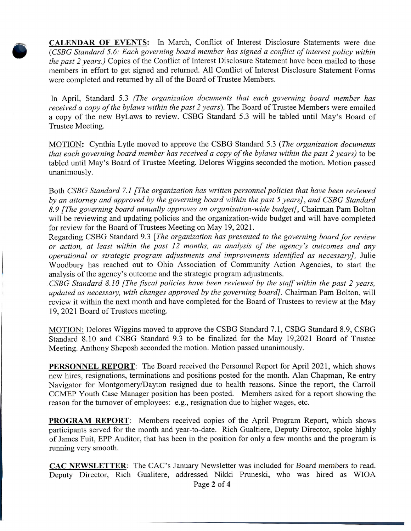**CALENDAR OF EVENTS:** In March, Conflict of Interest Disclosure Statements were due *(CSBG Standard 5.6: Each governing board member has signed a conflict of interest policy within the past 2 years.)* Copies of the Conflict of Interest Disclosure Statement have been mailed to those members in effort to get signed and returned. All Conflict of Interest Disclosure Statement Forms were completed and returned by all of the Board of Trustee Members.

In April, Standard 5.3 (The organization documents that each governing board member has *received a copy of the bylaws within the past 2 years).* The Board of Trustee Members were emailed a copy of the new ByLaws to review. CSBG Standard 5.3 will be tabled until May's Board of Trustee Meeting.

MOTION: Cynthia Lytle moved to approve the CSBG Standard 5.3 *(The organization documents that each governing board member has received a copy of the bylaws within the past 2 years)* to be tabled until May's Board of Trustee Meeting. Delores Wiggins seconded the motion. Motion passed unanimously.

Both *CSBG Standard 7.1 [The organization has written personnel policies that have been reviewed by an attorney and approved by the governing board within the past 5 years], and CSBG Standard 8.9 [The governing board annually approves an organization-wide budget]',* Chairman Pam Bolton will be reviewing and updating policies and the organization-wide budget and will have completed for review for the Board of Trustees Meeting on May 19, 2021.

Regarding CSBG Standard 9.3 *[The organization has presented to the governing board for review or action, at least within the past 12 months, an analysis of the agency's outcomes and any operational or strategic program adjustments and improvements identified as necessary],* Julie Woodbury has reached out to Ohio Association of Community Action Agencies, to start the analysis of the agency's outcome and the strategic program adjustments.

*CSBG Standard 8.10 [The fiscal policies have been reviewed by the staff within the past 2 years, updated as necessary, with changes approved by the governing board].* Chairman Pam Bolton, will review it within the next month and have completed for the Board of Trustees to review at the May 19, 2021 Board of Trustees meeting.

MOTION: Delores Wiggins moved to approve the CSBG Standard 7.1, CSBG Standard 8.9, CSBG Standard 8.10 and CSBG Standard 9.3 to be finalized for the May 19,2021 Board of Trustee Meeting. Anthony Sheposh seconded the motion. Motion passed unanimously.

**PERSONNEL REPORT:** The Board received the Personnel Report for April 2021, which shows new hires, resignations, terminations and positions posted for the month. Alan Chapman, Re-entry Navigator for Montgomery/Dayton resigned due to health reasons. Since the report, the Carroll CCMEP Youth Case Manager position has been posted. Members asked for a report showing the reason for the turnover of employees: e.g., resignation due to higher wages, etc.

**PROGRAM REPORT:** Members received copies of the April Program Report, which shows participants served for the month and year-to-date. Rich Gualtiere, Deputy Director, spoke highly of James Fuit, EPP Auditor, that has been in the position for only a few months and the program is running very smooth.

**CAC NEWSLETTER:** The CAC's January Newsletter was included for Board members to read. Deputy Director, Rich Gualitere, addressed Nikki Pruneski, who was hired as WIOA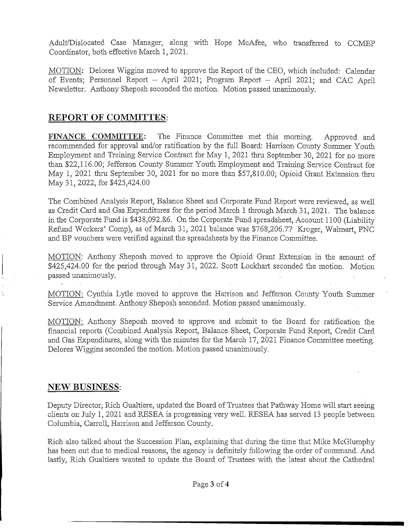Adult/Dislocated Case Manager, along with Hope McAfee, who transferred to CCMEP Coordinator, both effective March 1, 2021.

MOTION: Delores Wiggins moved to approve the Report of the CEO, which included: Calendar of Events; Personnel Report - April 2021; Program Report - April 2021; and CAC April Newsletter. Anthony Sheposh seconded the motion. Motion passed unanimously.

# **REPORT OF COMMITTES:**

FINANCE **COMMITTEE:** The Finance Committee met this morning. Approved and recommended for approval and/or ratification by the full Board: Harrison County Summer Youth Employment and Training Service Contract for May 1, 2021 thru September 30, 2021 for no more than \$22,116.00; Jefferson County Summer Youth Employment and Training Service Contract for May 1, 2021 thru September 30, 2021 for no more than \$57,810.00; Opioid Grant Extension thru May 31, 2022, for \$425,424.00

The Combined Analysis Report, Balance Sheet and Corporate Fund Report were reviewed, as well as Credit Card and Gas Expenditures for the period March 1 through March 31, 2021. The balance in the Corporate Fund is \$438,092.86. On the Corporate Fund spreadsheet, Account 1100 (Liability Refund Workers' Comp), as of March 31, 2021 balance was \$768,206.77 Kroger, Walmart, PNC and BP vouchers were verified against the spreadsheets by the Finance Committee.

MOTION: Anthony Sheposh moved to approve the Opioid Grant Extension in the amount of \$425,424.00 for the period through May 31, 2022. Scott Lockhart seconded the motion. Motion passed unanimously.

MOTION: Cynthia Lytle moved to approve the Harrison and Jefferson County Youth Summer Service Amendment. Anthony Sheposh seconded. Motion passed unanimously.

MOTION: Anthony Sheposh moved to approve and submit to the Board for ratification the financial reports (Combined Analysis. Report, Balance Sheet, Corporate Fund Report, Credit Card and Gas Expenditures, along with the minutes for the March 17, 2021 Finance Committee meeting. Delores Wiggins seconded the motion. Motion passed unanimously.

# NEW BUSINESS:

Deputy Director, Rich Gualtiere, updated the Board of Trustees that Pathway Home will start seeing clients on July 1, 2021 and RESEA is progressing very well. RESEA has served 13 people between Columbia, Carroll, Harrison and Jefferson County.

Rich also talked about the Succession Plan, explaining that during the time that Mike McGlumphy has been out due to medical reasons, the agency is definitely following the order of command. And lastly, Rich Gualtiere wanted to update the Board of Trustees with the latest about the Cathedral